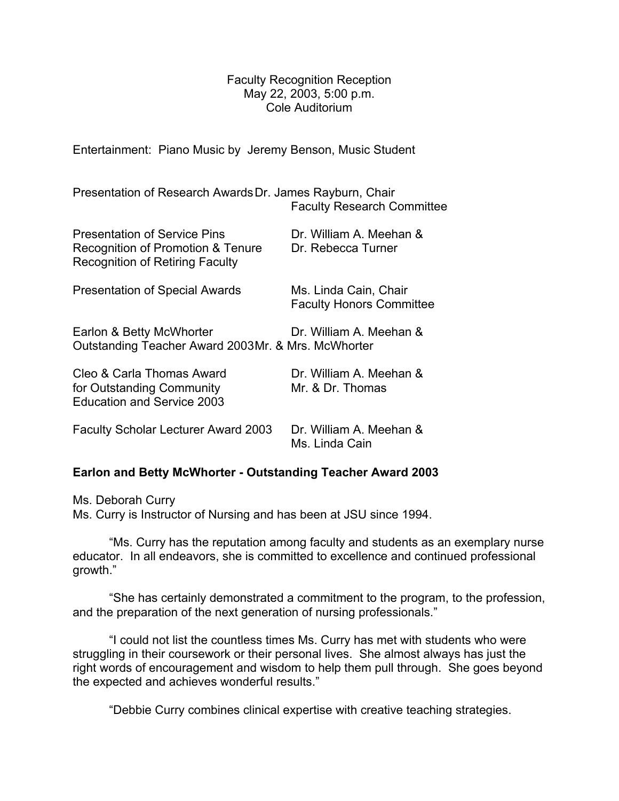Faculty Recognition Reception May 22, 2003, 5:00 p.m. Cole Auditorium

Entertainment: Piano Music by Jeremy Benson, Music Student

Presentation of Research AwardsDr. James Rayburn, Chair Faculty Research Committee

| <b>Presentation of Service Pins</b><br>Recognition of Promotion & Tenure<br><b>Recognition of Retiring Faculty</b> | Dr. William A. Meehan &<br>Dr. Rebecca Turner            |
|--------------------------------------------------------------------------------------------------------------------|----------------------------------------------------------|
| <b>Presentation of Special Awards</b>                                                                              | Ms. Linda Cain, Chair<br><b>Faculty Honors Committee</b> |
| Dr. William A. Meehan &<br>Earlon & Betty McWhorter<br>Outstanding Teacher Award 2003Mr. & Mrs. McWhorter          |                                                          |
| Cleo & Carla Thomas Award<br>for Outstanding Community<br><b>Education and Service 2003</b>                        | Dr. William A. Meehan &<br>Mr. & Dr. Thomas              |
| <b>Faculty Scholar Lecturer Award 2003</b>                                                                         | Dr. William A. Meehan &<br>Ms. Linda Cain                |

### **Earlon and Betty McWhorter - Outstanding Teacher Award 2003**

Ms. Deborah Curry Ms. Curry is Instructor of Nursing and has been at JSU since 1994.

"Ms. Curry has the reputation among faculty and students as an exemplary nurse educator. In all endeavors, she is committed to excellence and continued professional growth."

"She has certainly demonstrated a commitment to the program, to the profession, and the preparation of the next generation of nursing professionals."

"I could not list the countless times Ms. Curry has met with students who were struggling in their coursework or their personal lives. She almost always has just the right words of encouragement and wisdom to help them pull through. She goes beyond the expected and achieves wonderful results."

"Debbie Curry combines clinical expertise with creative teaching strategies.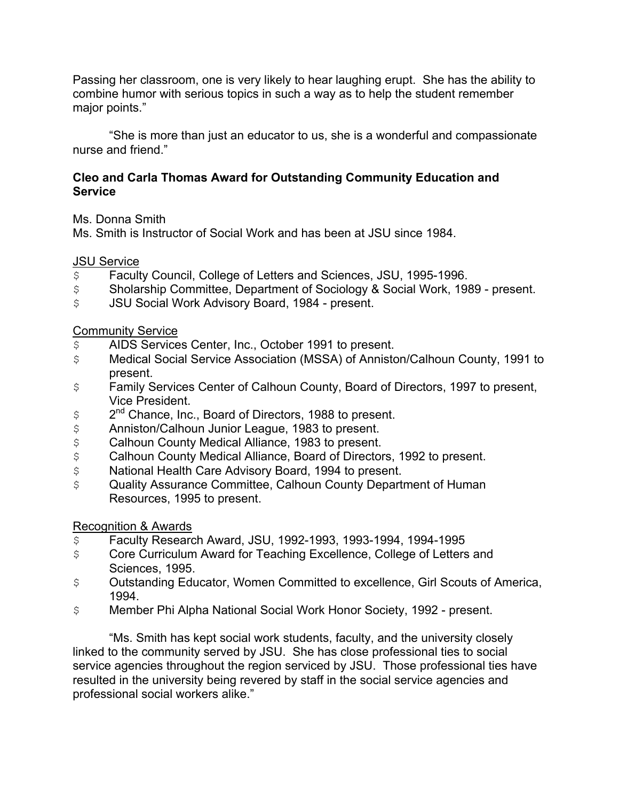Passing her classroom, one is very likely to hear laughing erupt. She has the ability to combine humor with serious topics in such a way as to help the student remember major points."

"She is more than just an educator to us, she is a wonderful and compassionate nurse and friend."

## **Cleo and Carla Thomas Award for Outstanding Community Education and Service**

Ms. Donna Smith

Ms. Smith is Instructor of Social Work and has been at JSU since 1984.

# **JSU Service**

- \$ Faculty Council, College of Letters and Sciences, JSU, 1995-1996.
- \$ Sholarship Committee, Department of Sociology & Social Work, 1989 present.<br>\$ JSU Social Work Advisory Board, 1984 present.
- JSU Social Work Advisory Board, 1984 present.

# Community Service

- \$ AIDS Services Center, Inc., October 1991 to present.
- \$ Medical Social Service Association (MSSA) of Anniston/Calhoun County, 1991 to present.
- \$ Family Services Center of Calhoun County, Board of Directors, 1997 to present, Vice President.
- \$ 2<sup>nd</sup> Chance, Inc., Board of Directors, 1988 to present.
- \$ Anniston/Calhoun Junior League, 1983 to present.
- \$ Calhoun County Medical Alliance, 1983 to present.<br>\$ Calhoun County Medical Alliance, Board of Director
- \$ Calhoun County Medical Alliance, Board of Directors, 1992 to present.<br>\$ National Health Care Advisory Board, 1994 to present.
- \$ National Health Care Advisory Board, 1994 to present.<br>\$ Quality Assurance Committee. Calhoun County Depart
- Quality Assurance Committee, Calhoun County Department of Human Resources, 1995 to present.

# Recognition & Awards

- \$ Faculty Research Award, JSU, 1992-1993, 1993-1994, 1994-1995
- \$ Core Curriculum Award for Teaching Excellence, College of Letters and Sciences, 1995.
- \$ Outstanding Educator, Women Committed to excellence, Girl Scouts of America, 1994.
- \$ Member Phi Alpha National Social Work Honor Society, 1992 present.

"Ms. Smith has kept social work students, faculty, and the university closely linked to the community served by JSU. She has close professional ties to social service agencies throughout the region serviced by JSU. Those professional ties have resulted in the university being revered by staff in the social service agencies and professional social workers alike."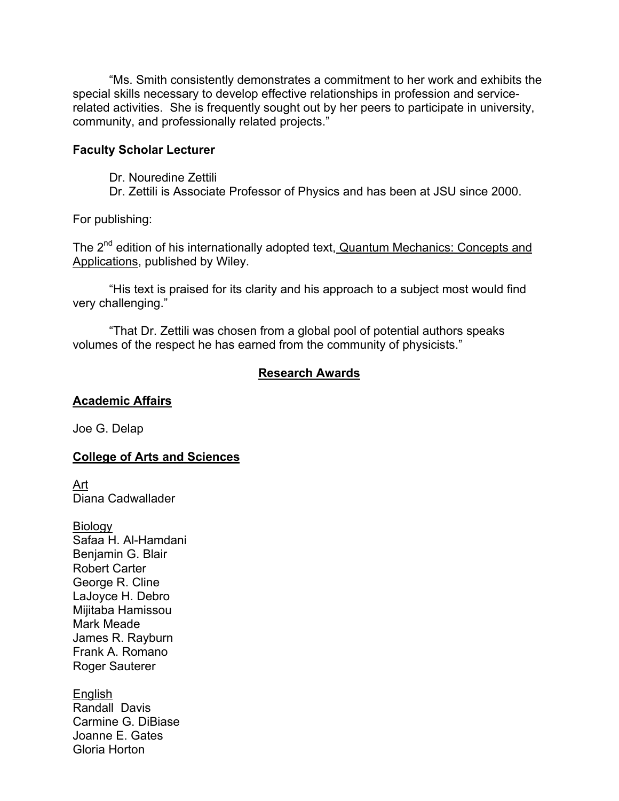"Ms. Smith consistently demonstrates a commitment to her work and exhibits the special skills necessary to develop effective relationships in profession and servicerelated activities. She is frequently sought out by her peers to participate in university, community, and professionally related projects."

### **Faculty Scholar Lecturer**

- Dr. Nouredine Zettili
- Dr. Zettili is Associate Professor of Physics and has been at JSU since 2000.

For publishing:

The 2<sup>nd</sup> edition of his internationally adopted text, **Quantum Mechanics: Concepts and** Applications, published by Wiley.

"His text is praised for its clarity and his approach to a subject most would find very challenging."

"That Dr. Zettili was chosen from a global pool of potential authors speaks volumes of the respect he has earned from the community of physicists."

## **Research Awards**

## **Academic Affairs**

Joe G. Delap

## **College of Arts and Sciences**

Art Diana Cadwallader

Biology Safaa H. Al-Hamdani Benjamin G. Blair Robert Carter George R. Cline LaJoyce H. Debro Mijitaba Hamissou Mark Meade James R. Rayburn Frank A. Romano Roger Sauterer

English Randall Davis Carmine G. DiBiase Joanne E. Gates Gloria Horton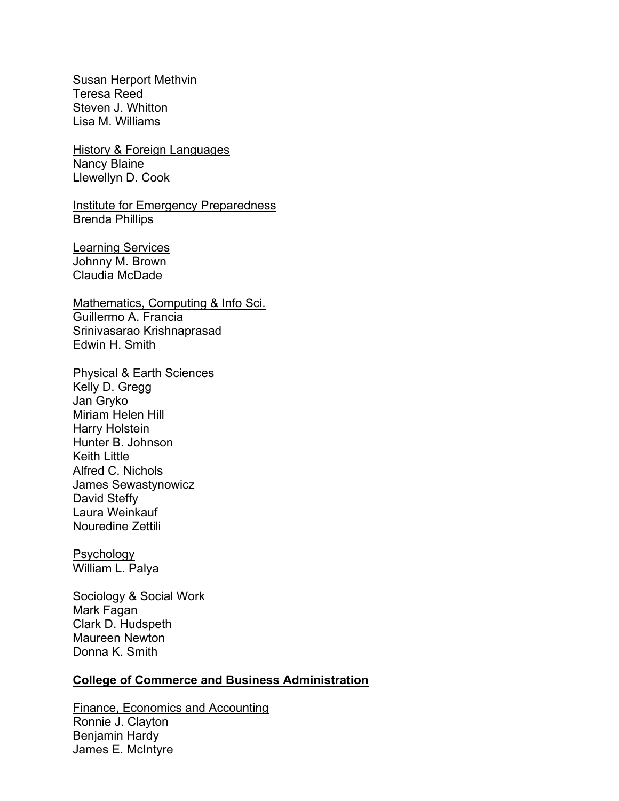Susan Herport Methvin Teresa Reed Steven J. Whitton Lisa M. Williams

History & Foreign Languages Nancy Blaine Llewellyn D. Cook

Institute for Emergency Preparedness Brenda Phillips

Learning Services Johnny M. Brown Claudia McDade

Mathematics, Computing & Info Sci. Guillermo A. Francia Srinivasarao Krishnaprasad Edwin H. Smith

Physical & Earth Sciences

Kelly D. Gregg Jan Gryko Miriam Helen Hill Harry Holstein Hunter B. Johnson Keith Little Alfred C. Nichols James Sewastynowicz David Steffy Laura Weinkauf Nouredine Zettili

Psychology William L. Palya

Sociology & Social Work Mark Fagan Clark D. Hudspeth Maureen Newton Donna K. Smith

#### **College of Commerce and Business Administration**

Finance, Economics and Accounting Ronnie J. Clayton Benjamin Hardy James E. McIntyre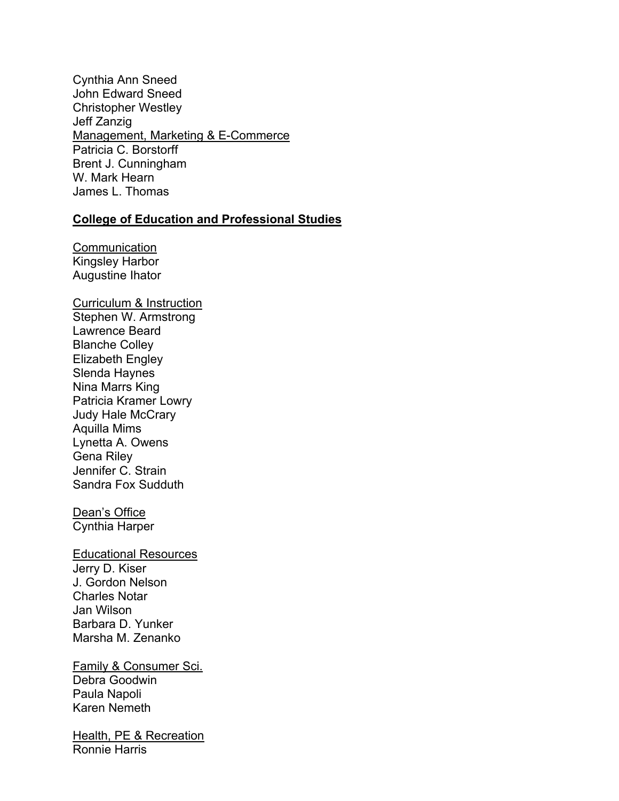Cynthia Ann Sneed John Edward Sneed Christopher Westley Jeff Zanzig Management, Marketing & E-Commerce Patricia C. Borstorff Brent J. Cunningham W. Mark Hearn James L. Thomas

#### **College of Education and Professional Studies**

**Communication** Kingsley Harbor Augustine Ihator

Curriculum & Instruction Stephen W. Armstrong Lawrence Beard Blanche Colley Elizabeth Engley Slenda Haynes Nina Marrs King Patricia Kramer Lowry Judy Hale McCrary Aquilla Mims Lynetta A. Owens Gena Riley Jennifer C. Strain Sandra Fox Sudduth

Dean's Office Cynthia Harper

Educational Resources Jerry D. Kiser J. Gordon Nelson Charles Notar Jan Wilson Barbara D. Yunker Marsha M. Zenanko

Family & Consumer Sci. Debra Goodwin Paula Napoli Karen Nemeth

Health, PE & Recreation Ronnie Harris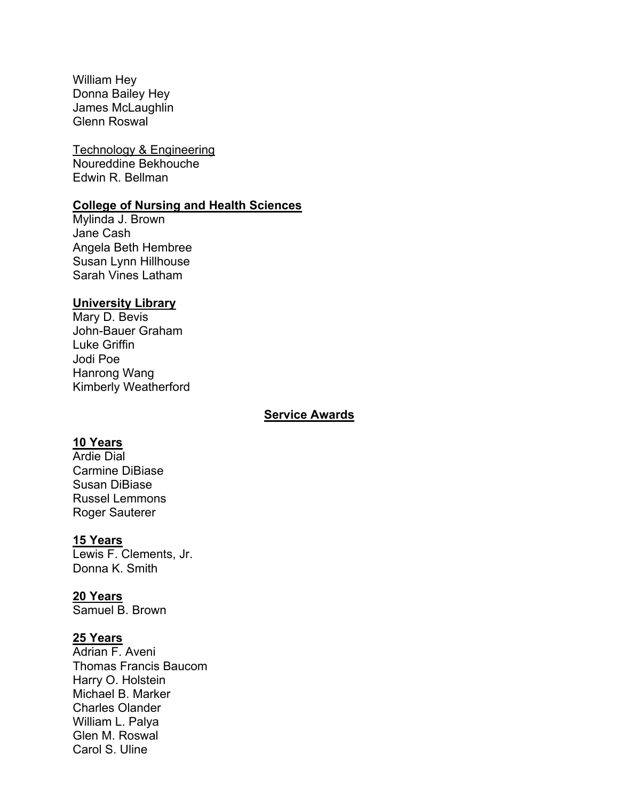William Hey Donna Bailey Hey James McLaughlin Glenn Roswal

Technology & Engineering Noureddine Bekhouche Edwin R. Bellman

#### **College of Nursing and Health Sciences**

Mylinda J. Brown Jane Cash Angela Beth Hembree Susan Lynn Hillhouse Sarah Vines Latham

#### **University Library**

Mary D. Bevis John-Bauer Graham Luke Griffin Jodi Poe Hanrong Wang Kimberly Weatherford

#### **Service Awards**

## **10 Years**

Ardie Dial Carmine DiBiase Susan DiBiase Russel Lemmons Roger Sauterer

### **15 Years**

Lewis F. Clements, Jr. Donna K. Smith

**20 Years** Samuel B. Brown

## **25 Years**

Adrian F. Aveni Thomas Francis Baucom Harry O. Holstein Michael B. Marker Charles Olander William L. Palya Glen M. Roswal Carol S. Uline